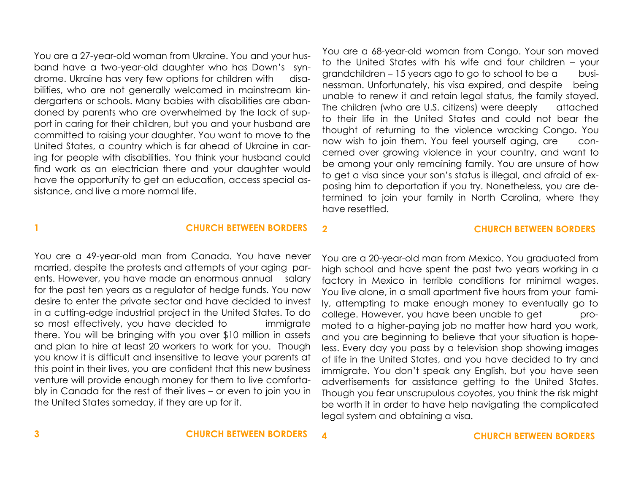You are a 27-year-old woman from Ukraine. You and your husband have a two-year-old daughter who has Down's syndrome. Ukraine has very few options for children with disabilities, who are not generally welcomed in mainstream kindergartens or schools. Many babies with disabilities are abandoned by parents who are overwhelmed by the lack of support in caring for their children, but you and your husband are committed to raising your daughter. You want to move to the United States, a country which is far ahead of Ukraine in caring for people with disabilities. You think your husband could find work as an electrician there and your daughter would have the opportunity to get an education, access special assistance, and live a more normal life.

You are a 68-year-old woman from Congo. Your son moved to the United States with his wife and four children – your grandchildren – 15 years ago to go to school to be a businessman. Unfortunately, his visa expired, and despite being unable to renew it and retain legal status, the family stayed. The children (who are U.S. citizens) were deeply attached to their life in the United States and could not bear the thought of returning to the violence wracking Congo. You now wish to join them. You feel yourself aging, are concerned over growing violence in your country, and want to be among your only remaining family. You are unsure of how to get a visa since your son's status is illegal, and afraid of exposing him to deportation if you try. Nonetheless, you are determined to join your family in North Carolina, where they have resettled.

## **1 CHURCH BETWEEN BORDERS**

# **2 CHURCH BETWEEN BORDERS**

You are a 49-year-old man from Canada. You have never married, despite the protests and attempts of your aging parents. However, you have made an enormous annual salary for the past ten years as a regulator of hedge funds. You now desire to enter the private sector and have decided to invest in a cutting-edge industrial project in the United States. To do so most effectively, you have decided to immigrate there. You will be bringing with you over \$10 million in assets and plan to hire at least 20 workers to work for you. Though you know it is difficult and insensitive to leave your parents at this point in their lives, you are confident that this new business venture will provide enough money for them to live comfortably in Canada for the rest of their lives – or even to join you in the United States someday, if they are up for it.

You are a 20-year-old man from Mexico. You graduated from high school and have spent the past two years working in a factory in Mexico in terrible conditions for minimal wages. You live alone, in a small apartment five hours from your family, attempting to make enough money to eventually go to college. However, you have been unable to get promoted to a higher-paying job no matter how hard you work, and you are beginning to believe that your situation is hopeless. Every day you pass by a television shop showing images of life in the United States, and you have decided to try and immigrate. You don't speak any English, but you have seen advertisements for assistance getting to the United States. Though you fear unscrupulous coyotes, you think the risk might be worth it in order to have help navigating the complicated legal system and obtaining a visa.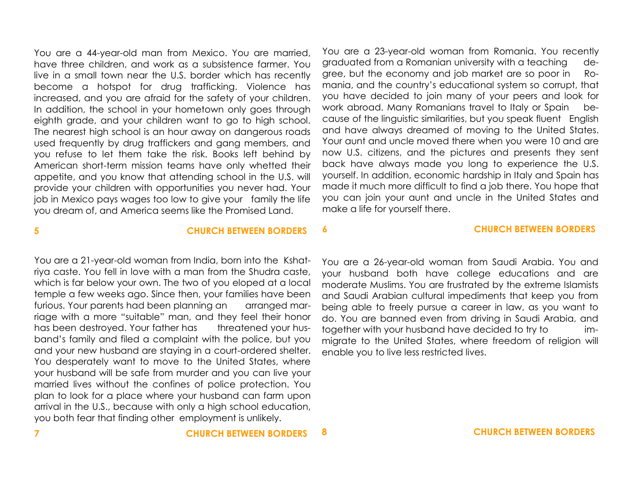You are a 44-year-old man from Mexico. You are married, have three children, and work as a subsistence farmer. You live in a small town near the U.S. border which has recently become a hotspot for drug trafficking. Violence has increased, and you are afraid for the safety of your children. In addition, the school in your hometown only goes through eighth grade, and your children want to go to high school. The nearest high school is an hour away on dangerous roads used frequently by drug traffickers and gang members, and you refuse to let them take the risk. Books left behind by American short-term mission teams have only whetted their appetite, and you know that attending school in the U.S. will provide your children with opportunities you never had. Your job in Mexico pays wages too low to give your family the life you dream of, and America seems like the Promised Land.

You are a 23-year-old woman from Romania. You recently graduated from a Romanian university with a teaching degree, but the economy and job market are so poor in Romania, and the country's educational system so corrupt, that you have decided to join many of your peers and look for work abroad. Many Romanians travel to Italy or Spain because of the linguistic similarities, but you speak fluent English and have always dreamed of moving to the United States. Your aunt and uncle moved there when you were 10 and are now U.S. citizens, and the pictures and presents they sent back have always made you long to experience the U.S. yourself. In addition, economic hardship in Italy and Spain has made it much more difficult to find a job there. You hope that you can join your aunt and uncle in the United States and make a life for yourself there.

**5 CHURCH BETWEEN BORDERS 6 CHURCH BETWEEN BORDERS**

You are a 21-year-old woman from India, born into the Kshatriya caste. You fell in love with a man from the Shudra caste, which is far below your own. The two of you eloped at a local temple a few weeks ago. Since then, your families have been furious. Your parents had been planning an arranged marriage with a more "suitable" man, and they feel their honor has been destroyed. Your father has threatened your husband's family and filed a complaint with the police, but you and your new husband are staying in a court-ordered shelter. You desperately want to move to the United States, where your husband will be safe from murder and you can live your married lives without the confines of police protection. You plan to look for a place where your husband can farm upon arrival in the U.S., because with only a high school education, you both fear that finding other employment is unlikely.

You are a 26-year-old woman from Saudi Arabia. You and your husband both have college educations and are moderate Muslims. You are frustrated by the extreme Islamists and Saudi Arabian cultural impediments that keep you from being able to freely pursue a career in law, as you want to do. You are banned even from driving in Saudi Arabia, and together with your husband have decided to try to immigrate to the United States, where freedom of religion will enable you to live less restricted lives.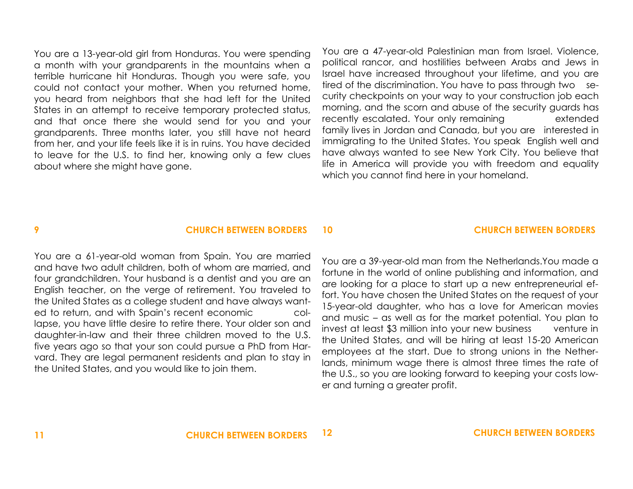You are a 13-year-old girl from Honduras. You were spending a month with your grandparents in the mountains when a terrible hurricane hit Honduras. Though you were safe, you could not contact your mother. When you returned home, you heard from neighbors that she had left for the United States in an attempt to receive temporary protected status, and that once there she would send for you and your grandparents. Three months later, you still have not heard from her, and your life feels like it is in ruins. You have decided to leave for the U.S. to find her, knowing only a few clues about where she might have gone.

You are a 47-year-old Palestinian man from Israel. Violence, political rancor, and hostilities between Arabs and Jews in Israel have increased throughout your lifetime, and you are tired of the discrimination. You have to pass through two security checkpoints on your way to your construction job each morning, and the scorn and abuse of the security guards has recently escalated. Your only remaining extended family lives in Jordan and Canada, but you are interested in immigrating to the United States. You speak English well and have always wanted to see New York City. You believe that life in America will provide you with freedom and equality which you cannot find here in your homeland.

## **9 CHURCH BETWEEN BORDERS**

## **10 CHURCH BETWEEN BORDERS**

You are a 61-year-old woman from Spain. You are married and have two adult children, both of whom are married, and four grandchildren. Your husband is a dentist and you are an English teacher, on the verge of retirement. You traveled to the United States as a college student and have always wanted to return, and with Spain's recent economic collapse, you have little desire to retire there. Your older son and daughter-in-law and their three children moved to the U.S. five years ago so that your son could pursue a PhD from Harvard. They are legal permanent residents and plan to stay in the United States, and you would like to join them.

You are a 39-year-old man from the Netherlands.You made a fortune in the world of online publishing and information, and are looking for a place to start up a new entrepreneurial effort. You have chosen the United States on the request of your 15-year-old daughter, who has a love for American movies and music – as well as for the market potential. You plan to invest at least \$3 million into your new business venture in the United States, and will be hiring at least 15-20 American employees at the start. Due to strong unions in the Netherlands, minimum wage there is almost three times the rate of the U.S., so you are looking forward to keeping your costs lower and turning a greater profit.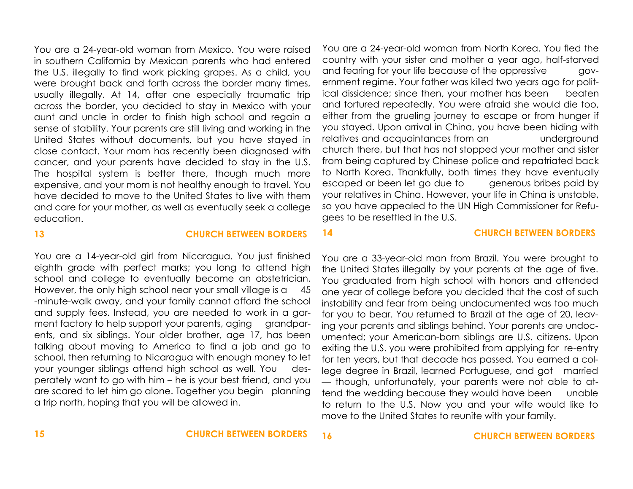You are a 24-year-old woman from Mexico. You were raised in southern California by Mexican parents who had entered the U.S. illegally to find work picking grapes. As a child, you were brought back and forth across the border many times, usually illegally. At 14, after one especially traumatic trip across the border, you decided to stay in Mexico with your aunt and uncle in order to finish high school and regain a sense of stability. Your parents are still living and working in the United States without documents, but you have stayed in close contact. Your mom has recently been diagnosed with cancer, and your parents have decided to stay in the U.S. The hospital system is better there, though much more expensive, and your mom is not healthy enough to travel. You have decided to move to the United States to live with them and care for your mother, as well as eventually seek a college education.

**13 CHURCH BETWEEN BORDERS**

# You are a 14-year-old girl from Nicaragua. You just finished eighth grade with perfect marks; you long to attend high school and college to eventually become an obstetrician. However, the only high school near your small village is a 45 -minute-walk away, and your family cannot afford the school and supply fees. Instead, you are needed to work in a garment factory to help support your parents, aging grandparents, and six siblings. Your older brother, age 17, has been talking about moving to America to find a job and go to school, then returning to Nicaragua with enough money to let

your younger siblings attend high school as well. You desperately want to go with him – he is your best friend, and you are scared to let him go alone. Together you begin planning a trip north, hoping that you will be allowed in.

You are a 24-year-old woman from North Korea. You fled the country with your sister and mother a year ago, half-starved and fearing for your life because of the oppressive government regime. Your father was killed two years ago for political dissidence; since then, your mother has been beaten and tortured repeatedly. You were afraid she would die too, either from the grueling journey to escape or from hunger if you stayed. Upon arrival in China, you have been hiding with relatives and acquaintances from an underground church there, but that has not stopped your mother and sister from being captured by Chinese police and repatriated back to North Korea. Thankfully, both times they have eventually escaped or been let go due to generous bribes paid by your relatives in China. However, your life in China is unstable, so you have appealed to the UN High Commissioner for Refugees to be resettled in the U.S.

### **14 CHURCH BETWEEN BORDERS**

You are a 33-year-old man from Brazil. You were brought to the United States illegally by your parents at the age of five. You graduated from high school with honors and attended one year of college before you decided that the cost of such instability and fear from being undocumented was too much for you to bear. You returned to Brazil at the age of 20, leaving your parents and siblings behind. Your parents are undocumented; your American-born siblings are U.S. citizens. Upon exiting the U.S. you were prohibited from applying for re-entry for ten years, but that decade has passed. You earned a college degree in Brazil, learned Portuguese, and got married — though, unfortunately, your parents were not able to attend the wedding because they would have been unable to return to the U.S. Now you and your wife would like to move to the United States to reunite with your family.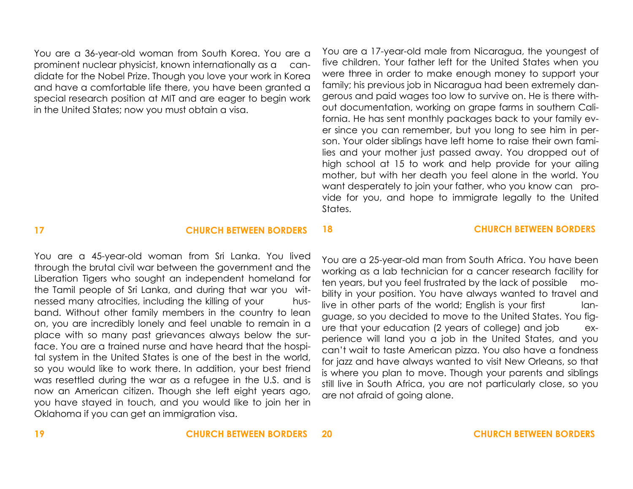You are a 36-year-old woman from South Korea. You are a prominent nuclear physicist, known internationally as a candidate for the Nobel Prize. Though you love your work in Korea and have a comfortable life there, you have been granted a special research position at MIT and are eager to begin work in the United States; now you must obtain a visa.

five children. Your father left for the United States when you were three in order to make enough money to support your family; his previous job in Nicaragua had been extremely dangerous and paid wages too low to survive on. He is there without documentation, working on grape farms in southern California. He has sent monthly packages back to your family ever since you can remember, but you long to see him in person. Your older siblings have left home to raise their own families and your mother just passed away. You dropped out of high school at 15 to work and help provide for your ailing mother, but with her death you feel alone in the world. You want desperately to join your father, who you know can provide for you, and hope to immigrate legally to the United States.

**18 CHURCH BETWEEN BORDERS**

You are a 17-year-old male from Nicaragua, the youngest of

## **17 CHURCH BETWEEN BORDERS**

## You are a 45-year-old woman from Sri Lanka. You lived through the brutal civil war between the government and the Liberation Tigers who sought an independent homeland for the Tamil people of Sri Lanka, and during that war you witnessed many atrocities, including the killing of your husband. Without other family members in the country to lean on, you are incredibly lonely and feel unable to remain in a place with so many past grievances always below the surface. You are a trained nurse and have heard that the hospital system in the United States is one of the best in the world, so you would like to work there. In addition, your best friend was resettled during the war as a refugee in the U.S. and is now an American citizen. Though she left eight years ago, you have stayed in touch, and you would like to join her in Oklahoma if you can get an immigration visa.

You are a 25-year-old man from South Africa. You have been working as a lab technician for a cancer research facility for ten years, but you feel frustrated by the lack of possible mobility in your position. You have always wanted to travel and live in other parts of the world; English is your first language, so you decided to move to the United States. You figure that your education (2 years of college) and job experience will land you a job in the United States, and you can't wait to taste American pizza. You also have a fondness for jazz and have always wanted to visit New Orleans, so that is where you plan to move. Though your parents and siblings still live in South Africa, you are not particularly close, so you are not afraid of going alone.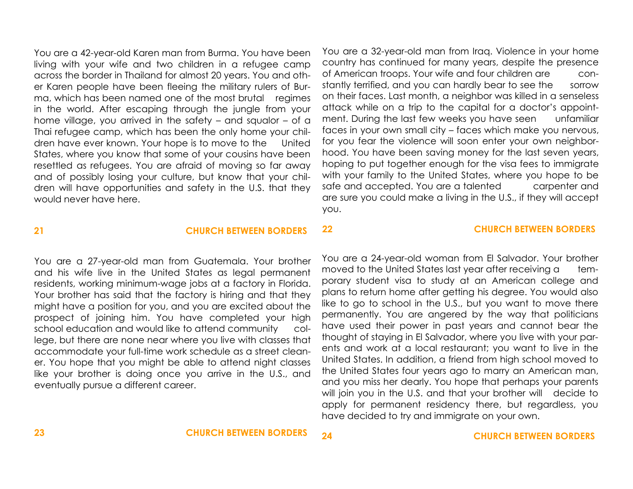You are a 42-year-old Karen man from Burma. You have been living with your wife and two children in a refugee camp across the border in Thailand for almost 20 years. You and other Karen people have been fleeing the military rulers of Burma, which has been named one of the most brutal regimes in the world. After escaping through the jungle from your home village, you arrived in the safety – and squalor – of a Thai refugee camp, which has been the only home your children have ever known. Your hope is to move to the United States, where you know that some of your cousins have been resettled as refugees. You are afraid of moving so far away and of possibly losing your culture, but know that your children will have opportunities and safety in the U.S. that they would never have here.

You are a 32-year-old man from Iraq. Violence in your home country has continued for many years, despite the presence of American troops. Your wife and four children are constantly terrified, and you can hardly bear to see the sorrow on their faces. Last month, a neighbor was killed in a senseless attack while on a trip to the capital for a doctor's appointment. During the last few weeks you have seen unfamiliar faces in your own small city – faces which make you nervous, for you fear the violence will soon enter your own neighborhood. You have been saving money for the last seven years, hoping to put together enough for the visa fees to immigrate with your family to the United States, where you hope to be safe and accepted. You are a talented carpenter and are sure you could make a living in the U.S., if they will accept you.

**22 CHURCH BETWEEN BORDERS**

## **21 CHURCH BETWEEN BORDERS**

You are a 27-year-old man from Guatemala. Your brother and his wife live in the United States as legal permanent residents, working minimum-wage jobs at a factory in Florida. Your brother has said that the factory is hiring and that they might have a position for you, and you are excited about the prospect of joining him. You have completed your high school education and would like to attend community college, but there are none near where you live with classes that accommodate your full-time work schedule as a street cleaner. You hope that you might be able to attend night classes like your brother is doing once you arrive in the U.S., and eventually pursue a different career.

## You are a 24-year-old woman from El Salvador. Your brother moved to the United States last year after receiving a temporary student visa to study at an American college and plans to return home after getting his degree. You would also like to go to school in the U.S., but you want to move there permanently. You are angered by the way that politicians have used their power in past years and cannot bear the thought of staying in El Salvador, where you live with your parents and work at a local restaurant; you want to live in the United States. In addition, a friend from high school moved to the United States four years ago to marry an American man,

and you miss her dearly. You hope that perhaps your parents will join you in the U.S. and that your brother will decide to apply for permanent residency there, but regardless, you have decided to try and immigrate on your own.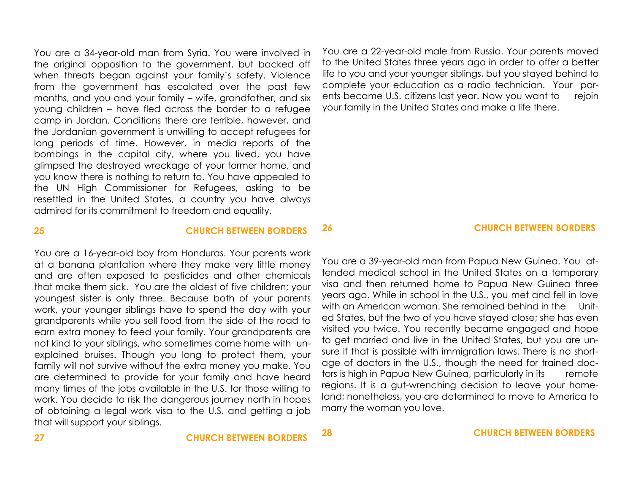You are a 34-year-old man from Syria. You were involved in the original opposition to the government, but backed off when threats began against your family's safety. Violence from the government has escalated over the past few months, and you and your family – wife, grandfather, and six young children – have fled across the border to a refugee camp in Jordan. Conditions there are terrible, however, and the Jordanian government is unwilling to accept refugees for long periods of time. However, in media reports of the bombings in the capital city, where you lived, you have glimpsed the destroyed wreckage of your former home, and you know there is nothing to return to. You have appealed to the UN High Commissioner for Refugees, asking to be resettled in the United States, a country you have always admired for its commitment to freedom and equality.

You are a 22-year-old male from Russia. Your parents moved to the United States three years ago in order to offer a better life to you and your younger siblings, but you stayed behind to complete your education as a radio technician. Your parents became U.S. citizens last year. Now you want to rejoin your family in the United States and make a life there.

You are a 16-year-old boy from Honduras. Your parents work at a banana plantation where they make very little money and are often exposed to pesticides and other chemicals that make them sick. You are the oldest of five children; your youngest sister is only three. Because both of your parents work, your younger siblings have to spend the day with your grandparents while you sell food from the side of the road to earn extra money to feed your family. Your grandparents are not kind to your siblings, who sometimes come home with unexplained bruises. Though you long to protect them, your family will not survive without the extra money you make. You are determined to provide for your family and have heard many times of the jobs available in the U.S. for those willing to work. You decide to risk the dangerous journey north in hopes of obtaining a legal work visa to the U.S. and getting a job that will support your siblings.

### **25 CHURCH BETWEEN BORDERS**

## **26 CHURCH BETWEEN BORDERS**

You are a 39-year-old man from Papua New Guinea. You attended medical school in the United States on a temporary visa and then returned home to Papua New Guinea three years ago. While in school in the U.S., you met and fell in love with an American woman. She remained behind in the United States, but the two of you have stayed close; she has even visited you twice. You recently became engaged and hope to get married and live in the United States, but you are unsure if that is possible with immigration laws. There is no shortage of doctors in the U.S., though the need for trained doctors is high in Papua New Guinea, particularly in its remote regions. It is a gut-wrenching decision to leave your homeland; nonetheless, you are determined to move to America to marry the woman you love.